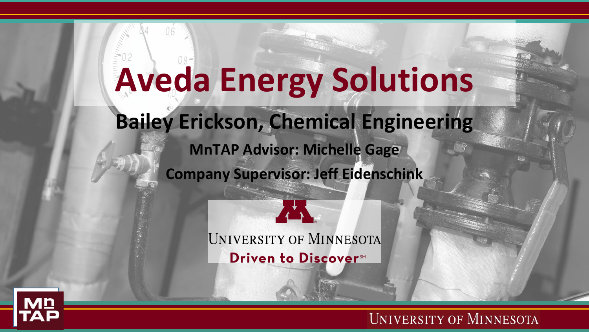# **Aveda Energy Solutions**

**Bailey Erickson, Chemical Engineering**

**MnTAP Advisor: Michelle Gage Company Supervisor: Jeff Eidenschink**

> **UNIVERSITY OF MINNESOTA** Driven to Discover<sup>SM</sup>

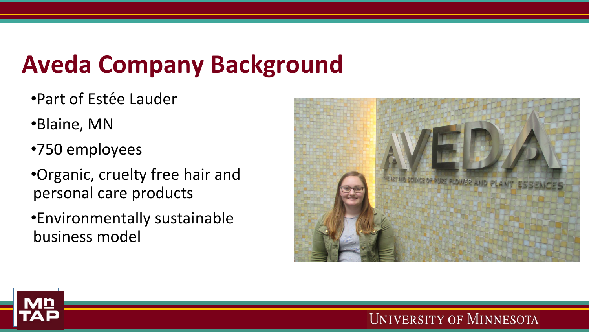# **Aveda Company Background**

- •Part of Estée Lauder
- •Blaine, MN
- •750 employees
- •Organic, cruelty free hair and personal care products
- •Environmentally sustainable business model



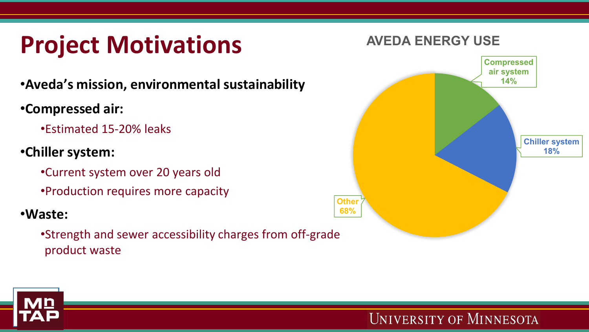## **Project Motivations**

•**Aveda's mission, environmental sustainability**

•**Compressed air:**

•Estimated 15-20% leaks

- •**Chiller system:**
	- •Current system over 20 years old
	- •Production requires more capacity

#### •**Waste:**

•Strength and sewer accessibility charges from off-grade product waste



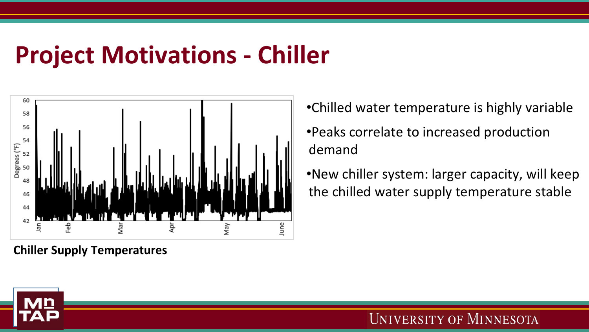### **Project Motivations - Chiller**



**Chiller Supply Temperatures**

- •Chilled water temperature is highly variable •Peaks correlate to increased production demand
- •New chiller system: larger capacity, will keep the chilled water supply temperature stable

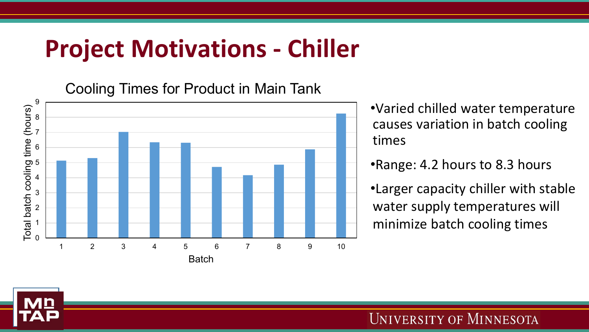#### **Project Motivations - Chiller**

Cooling Times for Product in Main Tank



•Varied chilled water temperature causes variation in batch cooling times

•Range: 4.2 hours to 8.3 hours

•Larger capacity chiller with stable water supply temperatures will minimize batch cooling times

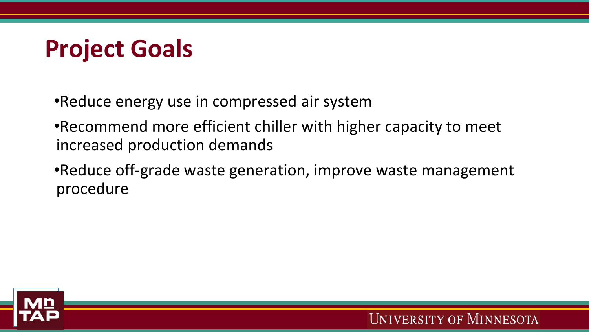### **Project Goals**

- •Reduce energy use in compressed air system
- •Recommend more efficient chiller with higher capacity to meet increased production demands
- •Reduce off-grade waste generation, improve waste management procedure

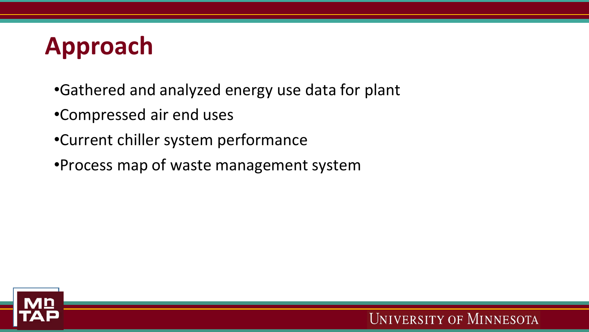## **Approach**

- •Gathered and analyzed energy use data for plant
- •Compressed air end uses
- •Current chiller system performance
- •Process map of waste management system

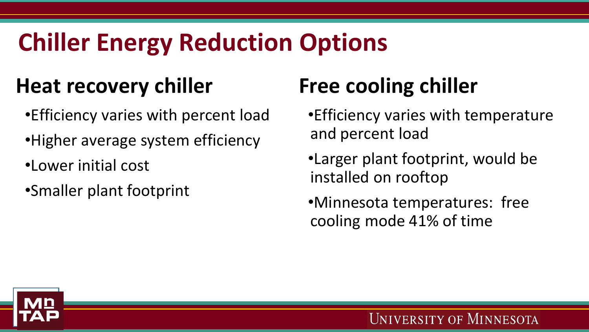## **Chiller Energy Reduction Options**

#### **Heat recovery chiller**

- •Efficiency varies with percent load
- •Higher average system efficiency
- •Lower initial cost
- •Smaller plant footprint

#### **Free cooling chiller**

- •Efficiency varies with temperature and percent load
- •Larger plant footprint, would be installed on rooftop
- •Minnesota temperatures: free cooling mode 41% of time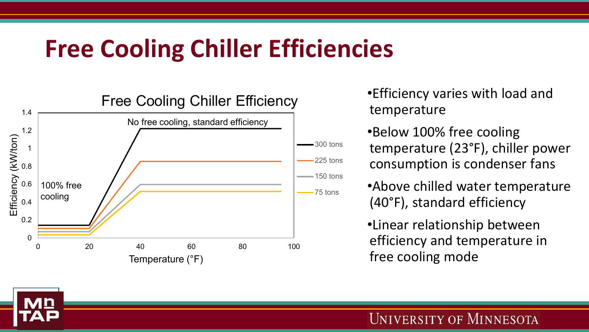### **Free Cooling Chiller Efficiencies**



•Efficiency varies with load and temperature

•Below 100% free cooling temperature (23°F), chiller power consumption is condenser fans

•Above chilled water temperature (40°F), standard efficiency

•Linear relationship between efficiency and temperature in free cooling mode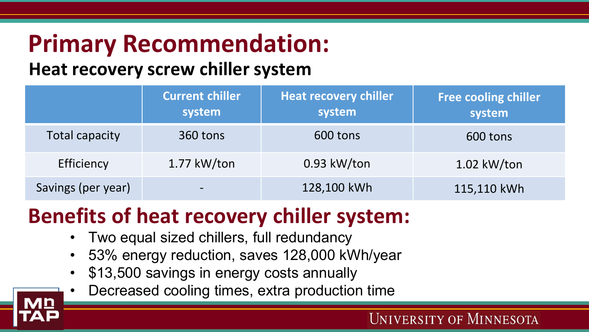# **Primary Recommendation:**

#### **Heat recovery screw chiller system**

|                    | <b>Current chiller</b><br>system | Heat recovery chiller<br>system | <b>Free cooling chiller</b><br>system |
|--------------------|----------------------------------|---------------------------------|---------------------------------------|
| Total capacity     | 360 tons                         | 600 tons                        | 600 tons                              |
| Efficiency         | $1.77$ kW/ton                    | $0.93$ kW/ton                   | $1.02$ kW/ton                         |
| Savings (per year) | $\overline{\phantom{0}}$         | 128,100 kWh                     | 115,110 kWh                           |

#### **Benefits of heat recovery chiller system:**

- Two equal sized chillers, full redundancy
- 53% energy reduction, saves 128,000 kWh/year
- \$13,500 savings in energy costs annually
- Decreased cooling times, extra production time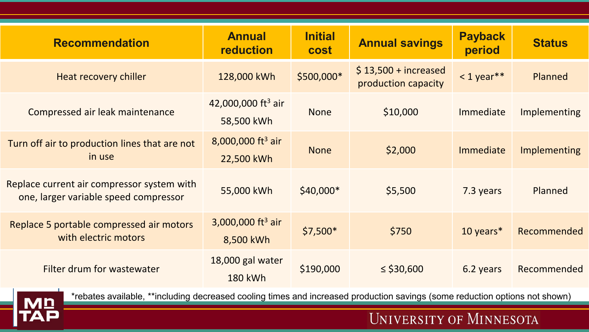| <b>Recommendation</b>                                                               | <b>Annual</b><br><b>reduction</b>            | <b>Initial</b><br><b>cost</b> | <b>Annual savings</b>                        | <b>Payback</b><br>period | <b>Status</b>       |
|-------------------------------------------------------------------------------------|----------------------------------------------|-------------------------------|----------------------------------------------|--------------------------|---------------------|
| Heat recovery chiller                                                               | 128,000 kWh                                  | \$500,000*                    | $$13,500 + increased$<br>production capacity | $<$ 1 year**             | Planned             |
| Compressed air leak maintenance                                                     | 42,000,000 ft <sup>3</sup> air<br>58,500 kWh | <b>None</b>                   | \$10,000                                     | Immediate                | <b>Implementing</b> |
| Turn off air to production lines that are not<br>in use                             | 8,000,000 ft <sup>3</sup> air<br>22,500 kWh  | <b>None</b>                   | \$2,000                                      | Immediate                | Implementing        |
| Replace current air compressor system with<br>one, larger variable speed compressor | 55,000 kWh                                   | $$40,000*$                    | \$5,500                                      | 7.3 years                | Planned             |
| Replace 5 portable compressed air motors<br>with electric motors                    | 3,000,000 ft <sup>3</sup> air<br>8,500 kWh   | $$7,500*$                     | \$750                                        | 10 years*                | Recommended         |
| Filter drum for wastewater                                                          | 18,000 gal water<br><b>180 kWh</b>           | \$190,000                     | $\le$ \$30,600                               | 6.2 years                | Recommended         |



\*rebates available, \*\*including decreased cooling times and increased production savings (some reduction options not shown)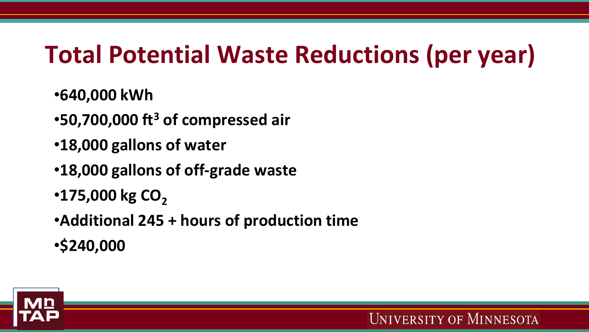### **Total Potential Waste Reductions (per year)**

- •**640,000 kWh**
- •**50,700,000 ft3 of compressed air**
- •**18,000 gallons of water**
- •**18,000 gallons of off-grade waste**
- $\cdot$ **175,000 kg CO<sub>2</sub>**
- •**Additional 245 + hours of production time**
- •**\$240,000**